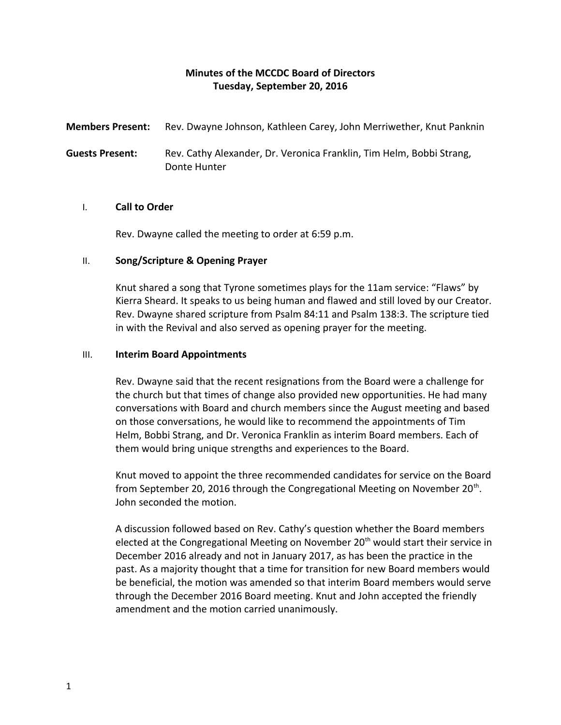# **Minutes of the MCCDC Board of Directors Tuesday, September 20, 2016**

**Members Present:** Rev. Dwayne Johnson, Kathleen Carey, John Merriwether, Knut Panknin

**Guests Present:** Rev. Cathy Alexander, Dr. Veronica Franklin, Tim Helm, Bobbi Strang, Donte Hunter

# I. **Call to Order**

Rev. Dwayne called the meeting to order at 6:59 p.m.

# II. **Song/Scripture & Opening Prayer**

Knut shared a song that Tyrone sometimes plays for the 11am service: "Flaws" by Kierra Sheard. It speaks to us being human and flawed and still loved by our Creator. Rev. Dwayne shared scripture from Psalm 84:11 and Psalm 138:3. The scripture tied in with the Revival and also served as opening prayer for the meeting.

## III. **Interim Board Appointments**

Rev. Dwayne said that the recent resignations from the Board were a challenge for the church but that times of change also provided new opportunities. He had many conversations with Board and church members since the August meeting and based on those conversations, he would like to recommend the appointments of Tim Helm, Bobbi Strang, and Dr. Veronica Franklin as interim Board members. Each of them would bring unique strengths and experiences to the Board.

Knut moved to appoint the three recommended candidates for service on the Board from September 20, 2016 through the Congregational Meeting on November 20<sup>th</sup>. John seconded the motion.

A discussion followed based on Rev. Cathy's question whether the Board members elected at the Congregational Meeting on November 20<sup>th</sup> would start their service in December 2016 already and not in January 2017, as has been the practice in the past. As a majority thought that a time for transition for new Board members would be beneficial, the motion was amended so that interim Board members would serve through the December 2016 Board meeting. Knut and John accepted the friendly amendment and the motion carried unanimously.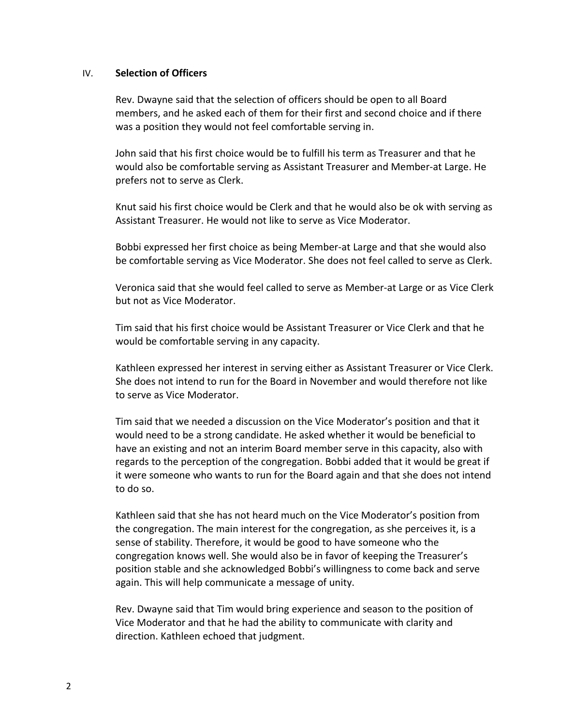### IV. **Selection of Officers**

Rev. Dwayne said that the selection of officers should be open to all Board members, and he asked each of them for their first and second choice and if there was a position they would not feel comfortable serving in.

John said that his first choice would be to fulfill his term as Treasurer and that he would also be comfortable serving as Assistant Treasurer and Member-at Large. He prefers not to serve as Clerk.

Knut said his first choice would be Clerk and that he would also be ok with serving as Assistant Treasurer. He would not like to serve as Vice Moderator.

Bobbi expressed her first choice as being Member-at Large and that she would also be comfortable serving as Vice Moderator. She does not feel called to serve as Clerk.

Veronica said that she would feel called to serve as Member-at Large or as Vice Clerk but not as Vice Moderator.

Tim said that his first choice would be Assistant Treasurer or Vice Clerk and that he would be comfortable serving in any capacity.

Kathleen expressed her interest in serving either as Assistant Treasurer or Vice Clerk. She does not intend to run for the Board in November and would therefore not like to serve as Vice Moderator.

Tim said that we needed a discussion on the Vice Moderator's position and that it would need to be a strong candidate. He asked whether it would be beneficial to have an existing and not an interim Board member serve in this capacity, also with regards to the perception of the congregation. Bobbi added that it would be great if it were someone who wants to run for the Board again and that she does not intend to do so.

Kathleen said that she has not heard much on the Vice Moderator's position from the congregation. The main interest for the congregation, as she perceives it, is a sense of stability. Therefore, it would be good to have someone who the congregation knows well. She would also be in favor of keeping the Treasurer's position stable and she acknowledged Bobbi's willingness to come back and serve again. This will help communicate a message of unity.

Rev. Dwayne said that Tim would bring experience and season to the position of Vice Moderator and that he had the ability to communicate with clarity and direction. Kathleen echoed that judgment.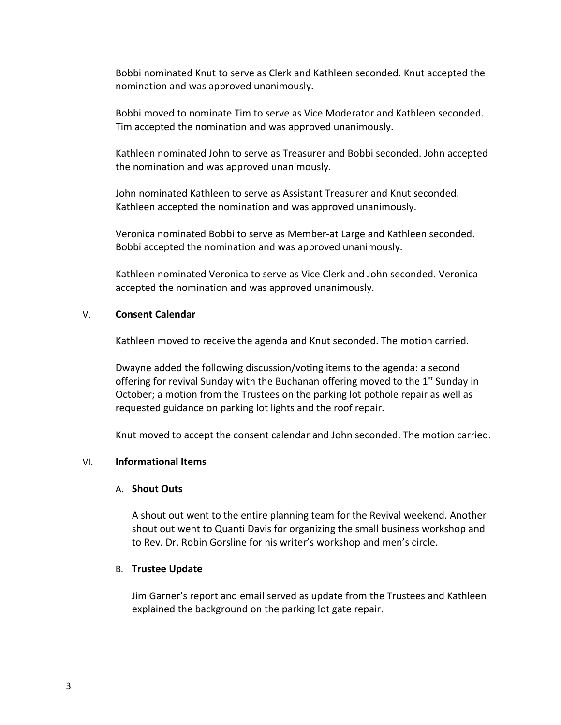Bobbi nominated Knut to serve as Clerk and Kathleen seconded. Knut accepted the nomination and was approved unanimously.

Bobbi moved to nominate Tim to serve as Vice Moderator and Kathleen seconded. Tim accepted the nomination and was approved unanimously.

Kathleen nominated John to serve as Treasurer and Bobbi seconded. John accepted the nomination and was approved unanimously.

John nominated Kathleen to serve as Assistant Treasurer and Knut seconded. Kathleen accepted the nomination and was approved unanimously.

Veronica nominated Bobbi to serve as Member-at Large and Kathleen seconded. Bobbi accepted the nomination and was approved unanimously.

Kathleen nominated Veronica to serve as Vice Clerk and John seconded. Veronica accepted the nomination and was approved unanimously.

## V. **Consent Calendar**

Kathleen moved to receive the agenda and Knut seconded. The motion carried.

Dwayne added the following discussion/voting items to the agenda: a second offering for revival Sunday with the Buchanan offering moved to the  $1<sup>st</sup>$  Sunday in October; a motion from the Trustees on the parking lot pothole repair as well as requested guidance on parking lot lights and the roof repair.

Knut moved to accept the consent calendar and John seconded. The motion carried.

### VI. **Informational Items**

### A. **Shout Outs**

A shout out went to the entire planning team for the Revival weekend. Another shout out went to Quanti Davis for organizing the small business workshop and to Rev. Dr. Robin Gorsline for his writer's workshop and men's circle.

### B. **Trustee Update**

Jim Garner's report and email served as update from the Trustees and Kathleen explained the background on the parking lot gate repair.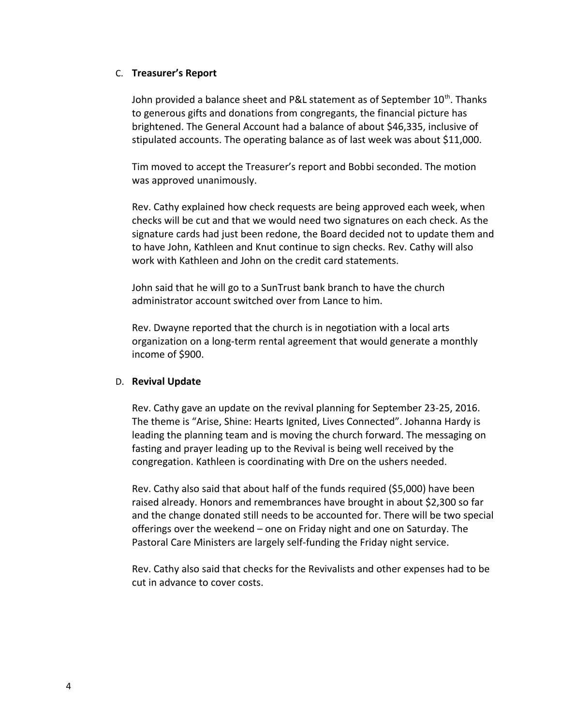## C. **Treasurer's Report**

John provided a balance sheet and P&L statement as of September 10<sup>th</sup>. Thanks to generous gifts and donations from congregants, the financial picture has brightened. The General Account had a balance of about \$46,335, inclusive of stipulated accounts. The operating balance as of last week was about \$11,000.

Tim moved to accept the Treasurer's report and Bobbi seconded. The motion was approved unanimously.

Rev. Cathy explained how check requests are being approved each week, when checks will be cut and that we would need two signatures on each check. As the signature cards had just been redone, the Board decided not to update them and to have John, Kathleen and Knut continue to sign checks. Rev. Cathy will also work with Kathleen and John on the credit card statements.

John said that he will go to a SunTrust bank branch to have the church administrator account switched over from Lance to him.

Rev. Dwayne reported that the church is in negotiation with a local arts organization on a long-term rental agreement that would generate a monthly income of \$900.

# D. **Revival Update**

Rev. Cathy gave an update on the revival planning for September 23-25, 2016. The theme is "Arise, Shine: Hearts Ignited, Lives Connected". Johanna Hardy is leading the planning team and is moving the church forward. The messaging on fasting and prayer leading up to the Revival is being well received by the congregation. Kathleen is coordinating with Dre on the ushers needed.

Rev. Cathy also said that about half of the funds required (\$5,000) have been raised already. Honors and remembrances have brought in about \$2,300 so far and the change donated still needs to be accounted for. There will be two special offerings over the weekend – one on Friday night and one on Saturday. The Pastoral Care Ministers are largely self-funding the Friday night service.

Rev. Cathy also said that checks for the Revivalists and other expenses had to be cut in advance to cover costs.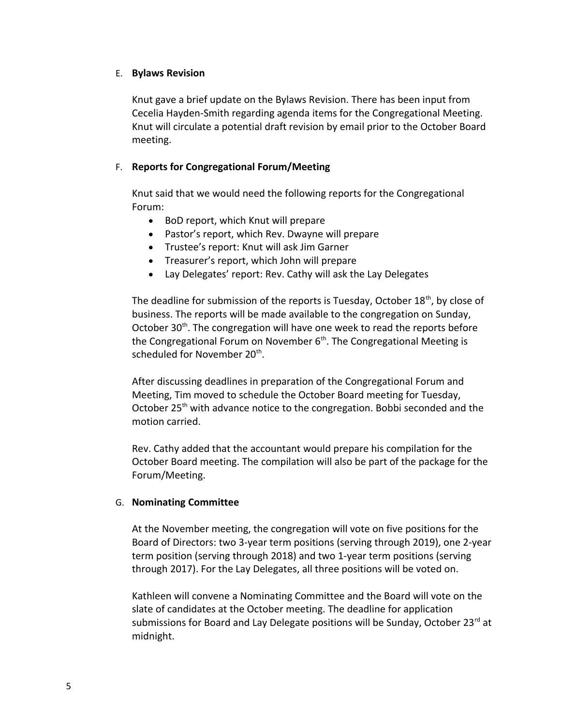# E. **Bylaws Revision**

Knut gave a brief update on the Bylaws Revision. There has been input from Cecelia Hayden-Smith regarding agenda items for the Congregational Meeting. Knut will circulate a potential draft revision by email prior to the October Board meeting.

# F. **Reports for Congregational Forum/Meeting**

Knut said that we would need the following reports for the Congregational Forum:

- BoD report, which Knut will prepare
- Pastor's report, which Rev. Dwayne will prepare
- Trustee's report: Knut will ask Jim Garner
- Treasurer's report, which John will prepare
- Lay Delegates' report: Rev. Cathy will ask the Lay Delegates

The deadline for submission of the reports is Tuesday, October  $18<sup>th</sup>$ , by close of business. The reports will be made available to the congregation on Sunday, October  $30<sup>th</sup>$ . The congregation will have one week to read the reports before the Congregational Forum on November  $6<sup>th</sup>$ . The Congregational Meeting is scheduled for November 20<sup>th</sup>.

After discussing deadlines in preparation of the Congregational Forum and Meeting, Tim moved to schedule the October Board meeting for Tuesday, October 25<sup>th</sup> with advance notice to the congregation. Bobbi seconded and the motion carried.

Rev. Cathy added that the accountant would prepare his compilation for the October Board meeting. The compilation will also be part of the package for the Forum/Meeting.

# G. **Nominating Committee**

At the November meeting, the congregation will vote on five positions for the Board of Directors: two 3-year term positions (serving through 2019), one 2-year term position (serving through 2018) and two 1-year term positions (serving through 2017). For the Lay Delegates, all three positions will be voted on.

Kathleen will convene a Nominating Committee and the Board will vote on the slate of candidates at the October meeting. The deadline for application submissions for Board and Lay Delegate positions will be Sunday, October 23rd at midnight.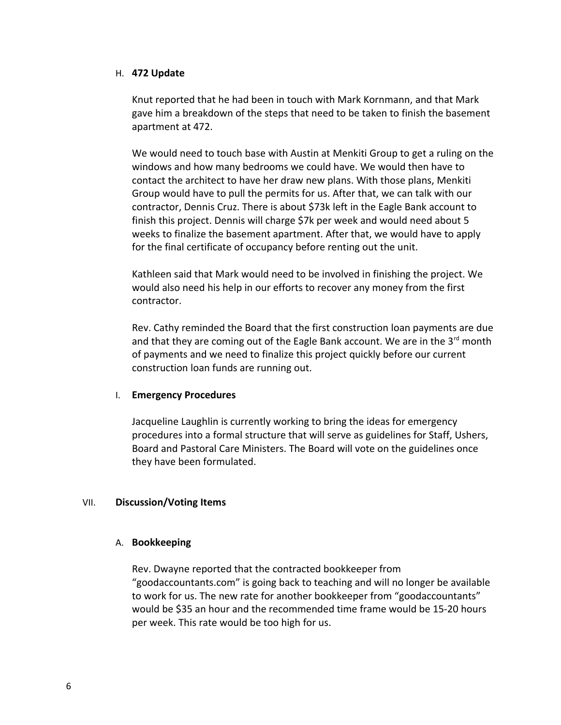## H. **472 Update**

Knut reported that he had been in touch with Mark Kornmann, and that Mark gave him a breakdown of the steps that need to be taken to finish the basement apartment at 472.

We would need to touch base with Austin at Menkiti Group to get a ruling on the windows and how many bedrooms we could have. We would then have to contact the architect to have her draw new plans. With those plans, Menkiti Group would have to pull the permits for us. After that, we can talk with our contractor, Dennis Cruz. There is about \$73k left in the Eagle Bank account to finish this project. Dennis will charge \$7k per week and would need about 5 weeks to finalize the basement apartment. After that, we would have to apply for the final certificate of occupancy before renting out the unit.

Kathleen said that Mark would need to be involved in finishing the project. We would also need his help in our efforts to recover any money from the first contractor.

Rev. Cathy reminded the Board that the first construction loan payments are due and that they are coming out of the Eagle Bank account. We are in the  $3^{rd}$  month of payments and we need to finalize this project quickly before our current construction loan funds are running out.

# I. **Emergency Procedures**

Jacqueline Laughlin is currently working to bring the ideas for emergency procedures into a formal structure that will serve as guidelines for Staff, Ushers, Board and Pastoral Care Ministers. The Board will vote on the guidelines once they have been formulated.

# VII. **Discussion/Voting Items**

# A. **Bookkeeping**

Rev. Dwayne reported that the contracted bookkeeper from "goodaccountants.com" is going back to teaching and will no longer be available to work for us. The new rate for another bookkeeper from "goodaccountants" would be \$35 an hour and the recommended time frame would be 15-20 hours per week. This rate would be too high for us.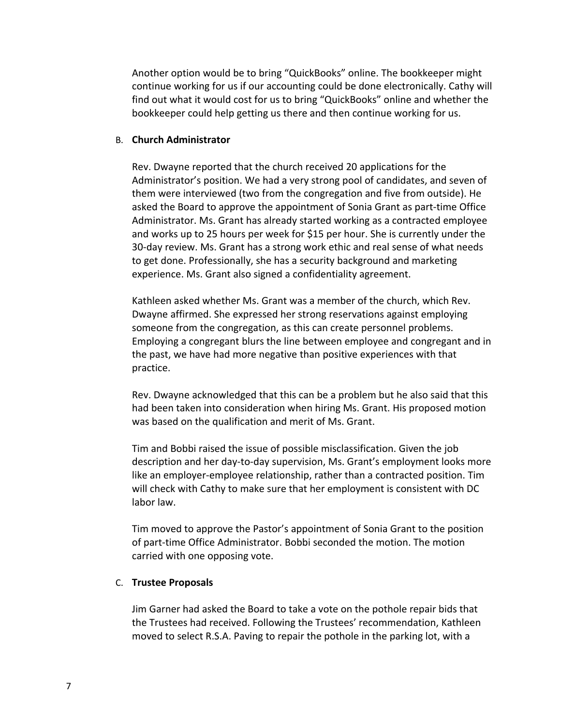Another option would be to bring "QuickBooks" online. The bookkeeper might continue working for us if our accounting could be done electronically. Cathy will find out what it would cost for us to bring "QuickBooks" online and whether the bookkeeper could help getting us there and then continue working for us.

### B. **Church Administrator**

Rev. Dwayne reported that the church received 20 applications for the Administrator's position. We had a very strong pool of candidates, and seven of them were interviewed (two from the congregation and five from outside). He asked the Board to approve the appointment of Sonia Grant as part-time Office Administrator. Ms. Grant has already started working as a contracted employee and works up to 25 hours per week for \$15 per hour. She is currently under the 30-day review. Ms. Grant has a strong work ethic and real sense of what needs to get done. Professionally, she has a security background and marketing experience. Ms. Grant also signed a confidentiality agreement.

Kathleen asked whether Ms. Grant was a member of the church, which Rev. Dwayne affirmed. She expressed her strong reservations against employing someone from the congregation, as this can create personnel problems. Employing a congregant blurs the line between employee and congregant and in the past, we have had more negative than positive experiences with that practice.

Rev. Dwayne acknowledged that this can be a problem but he also said that this had been taken into consideration when hiring Ms. Grant. His proposed motion was based on the qualification and merit of Ms. Grant.

Tim and Bobbi raised the issue of possible misclassification. Given the job description and her day-to-day supervision, Ms. Grant's employment looks more like an employer-employee relationship, rather than a contracted position. Tim will check with Cathy to make sure that her employment is consistent with DC labor law.

Tim moved to approve the Pastor's appointment of Sonia Grant to the position of part-time Office Administrator. Bobbi seconded the motion. The motion carried with one opposing vote.

### C. **Trustee Proposals**

Jim Garner had asked the Board to take a vote on the pothole repair bids that the Trustees had received. Following the Trustees' recommendation, Kathleen moved to select R.S.A. Paving to repair the pothole in the parking lot, with a